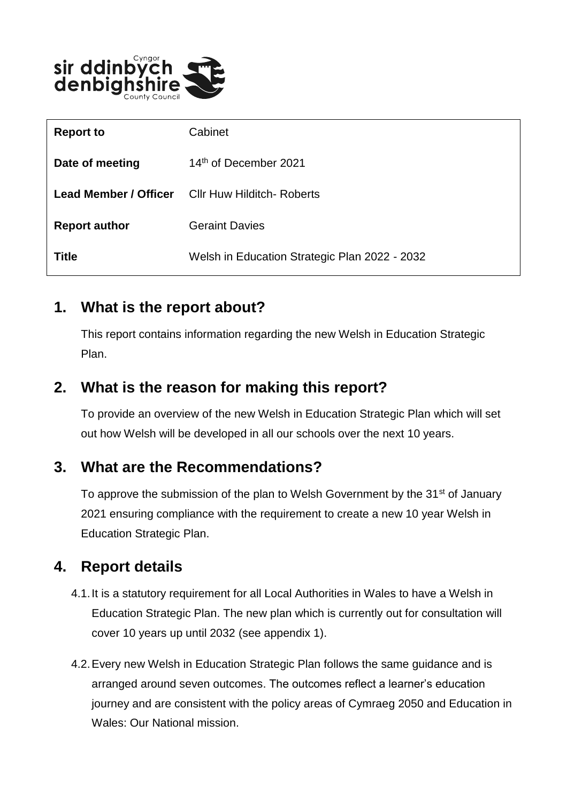

| <b>Report to</b>      | Cabinet                                       |
|-----------------------|-----------------------------------------------|
| Date of meeting       | 14th of December 2021                         |
| Lead Member / Officer | <b>Cllr Huw Hilditch- Roberts</b>             |
| <b>Report author</b>  | <b>Geraint Davies</b>                         |
| <b>Title</b>          | Welsh in Education Strategic Plan 2022 - 2032 |

#### **1. What is the report about?**

This report contains information regarding the new Welsh in Education Strategic Plan.

## **2. What is the reason for making this report?**

To provide an overview of the new Welsh in Education Strategic Plan which will set out how Welsh will be developed in all our schools over the next 10 years.

## **3. What are the Recommendations?**

To approve the submission of the plan to Welsh Government by the 31<sup>st</sup> of January 2021 ensuring compliance with the requirement to create a new 10 year Welsh in Education Strategic Plan.

# **4. Report details**

- 4.1.It is a statutory requirement for all Local Authorities in Wales to have a Welsh in Education Strategic Plan. The new plan which is currently out for consultation will cover 10 years up until 2032 (see appendix 1).
- 4.2.Every new Welsh in Education Strategic Plan follows the same guidance and is arranged around seven outcomes. The outcomes reflect a learner's education journey and are consistent with the policy areas of Cymraeg 2050 and Education in Wales: Our National mission.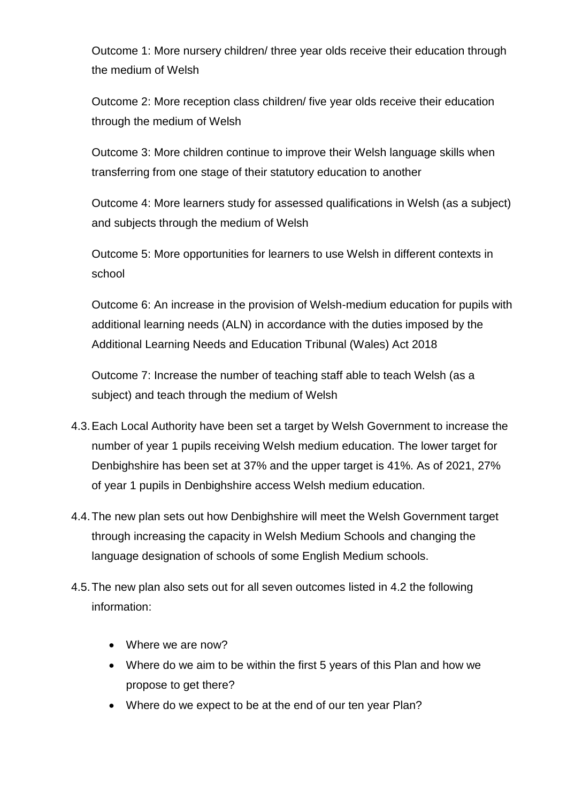Outcome 1: More nursery children/ three year olds receive their education through the medium of Welsh

Outcome 2: More reception class children/ five year olds receive their education through the medium of Welsh

Outcome 3: More children continue to improve their Welsh language skills when transferring from one stage of their statutory education to another

Outcome 4: More learners study for assessed qualifications in Welsh (as a subject) and subjects through the medium of Welsh

Outcome 5: More opportunities for learners to use Welsh in different contexts in school

Outcome 6: An increase in the provision of Welsh-medium education for pupils with additional learning needs (ALN) in accordance with the duties imposed by the Additional Learning Needs and Education Tribunal (Wales) Act 2018

Outcome 7: Increase the number of teaching staff able to teach Welsh (as a subject) and teach through the medium of Welsh

- 4.3.Each Local Authority have been set a target by Welsh Government to increase the number of year 1 pupils receiving Welsh medium education. The lower target for Denbighshire has been set at 37% and the upper target is 41%. As of 2021, 27% of year 1 pupils in Denbighshire access Welsh medium education.
- 4.4.The new plan sets out how Denbighshire will meet the Welsh Government target through increasing the capacity in Welsh Medium Schools and changing the language designation of schools of some English Medium schools.
- 4.5.The new plan also sets out for all seven outcomes listed in 4.2 the following information:
	- Where we are now?
	- Where do we aim to be within the first 5 years of this Plan and how we propose to get there?
	- Where do we expect to be at the end of our ten year Plan?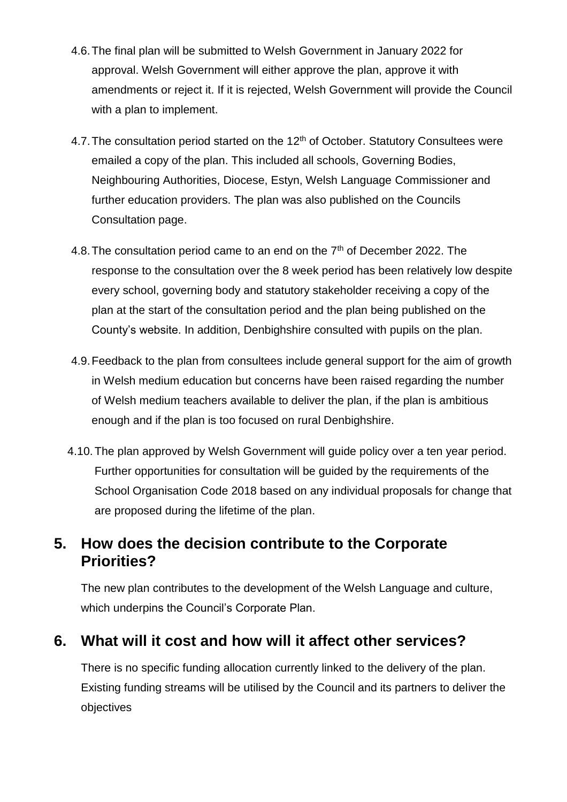- 4.6.The final plan will be submitted to Welsh Government in January 2022 for approval. Welsh Government will either approve the plan, approve it with amendments or reject it. If it is rejected, Welsh Government will provide the Council with a plan to implement.
- 4.7. The consultation period started on the 12<sup>th</sup> of October. Statutory Consultees were emailed a copy of the plan. This included all schools, Governing Bodies, Neighbouring Authorities, Diocese, Estyn, Welsh Language Commissioner and further education providers. The plan was also published on the Councils Consultation page.
- 4.8. The consultation period came to an end on the  $7<sup>th</sup>$  of December 2022. The response to the consultation over the 8 week period has been relatively low despite every school, governing body and statutory stakeholder receiving a copy of the plan at the start of the consultation period and the plan being published on the County's website. In addition, Denbighshire consulted with pupils on the plan.
- 4.9.Feedback to the plan from consultees include general support for the aim of growth in Welsh medium education but concerns have been raised regarding the number of Welsh medium teachers available to deliver the plan, if the plan is ambitious enough and if the plan is too focused on rural Denbighshire.
- 4.10.The plan approved by Welsh Government will guide policy over a ten year period. Further opportunities for consultation will be guided by the requirements of the School Organisation Code 2018 based on any individual proposals for change that are proposed during the lifetime of the plan.

### **5. How does the decision contribute to the Corporate Priorities?**

The new plan contributes to the development of the Welsh Language and culture, which underpins the Council's Corporate Plan.

## **6. What will it cost and how will it affect other services?**

There is no specific funding allocation currently linked to the delivery of the plan. Existing funding streams will be utilised by the Council and its partners to deliver the objectives